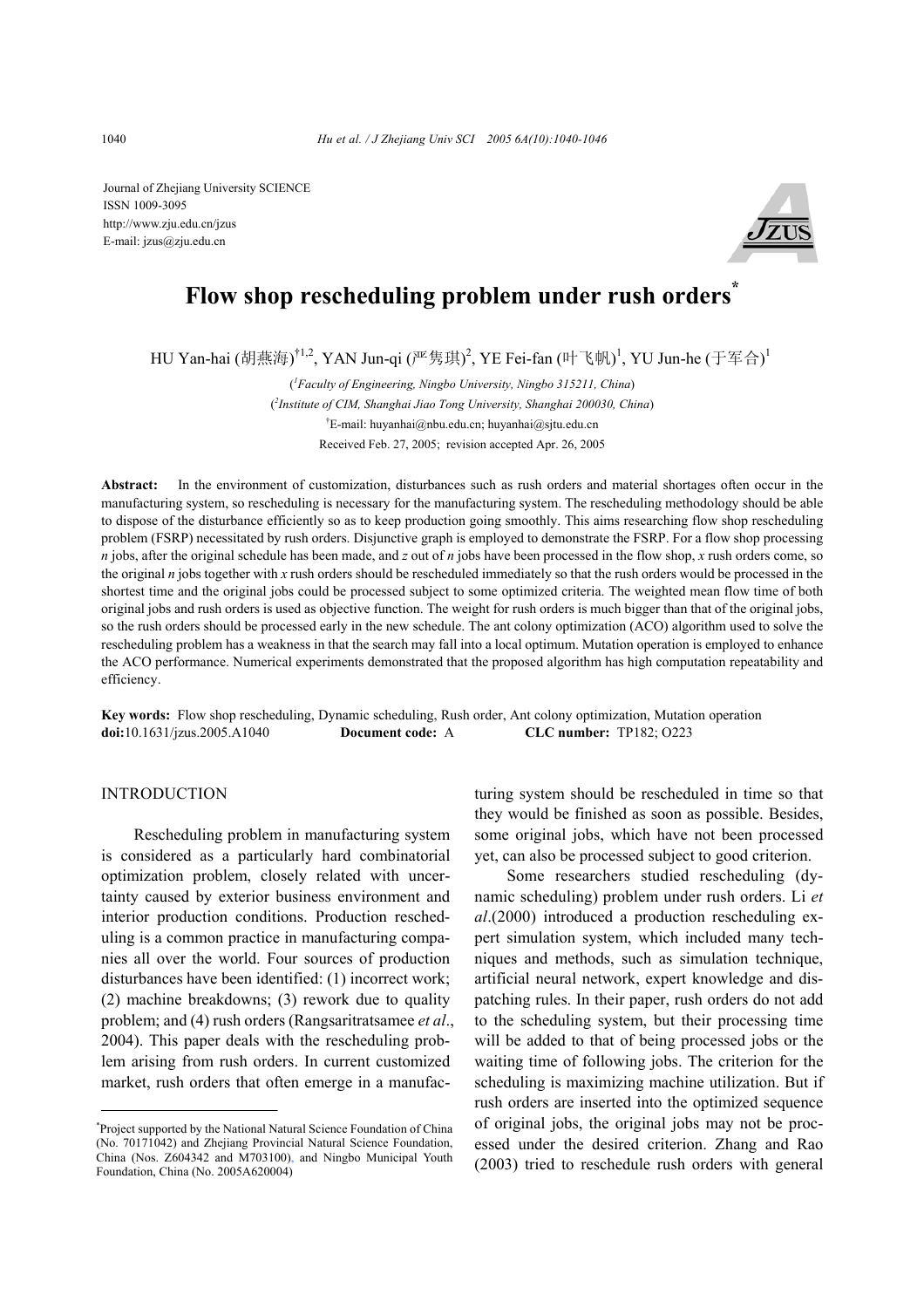Journal of Zhejiang University SCIENCE ISSN 1009-3095 http://www.zju.edu.cn/jzus E-mail: jzus@zju.edu.cn



# **Flow shop rescheduling problem under rush orders\***

HU Yan-hai (胡燕海)<sup>†1,2</sup>, YAN Jun-qi (严隽琪)<sup>2</sup>, YE Fei-fan (叶飞帆)<sup>1</sup>, YU Jun-he (于军合)<sup>1</sup>

( *1 Faculty of Engineering, Ningbo University, Ningbo 315211, China*) ( *2 Institute of CIM, Shanghai Jiao Tong University, Shanghai 200030, China*) † E-mail: huyanhai@nbu.edu.cn; huyanhai@sjtu.edu.cn Received Feb. 27, 2005; revision accepted Apr. 26, 2005

**Abstract:** In the environment of customization, disturbances such as rush orders and material shortages often occur in the manufacturing system, so rescheduling is necessary for the manufacturing system. The rescheduling methodology should be able to dispose of the disturbance efficiently so as to keep production going smoothly. This aims researching flow shop rescheduling problem (FSRP) necessitated by rush orders. Disjunctive graph is employed to demonstrate the FSRP. For a flow shop processing *n* jobs, after the original schedule has been made, and *z* out of *n* jobs have been processed in the flow shop, *x* rush orders come, so the original *n* jobs together with *x* rush orders should be rescheduled immediately so that the rush orders would be processed in the shortest time and the original jobs could be processed subject to some optimized criteria. The weighted mean flow time of both original jobs and rush orders is used as objective function. The weight for rush orders is much bigger than that of the original jobs, so the rush orders should be processed early in the new schedule. The ant colony optimization (ACO) algorithm used to solve the rescheduling problem has a weakness in that the search may fall into a local optimum. Mutation operation is employed to enhance the ACO performance. Numerical experiments demonstrated that the proposed algorithm has high computation repeatability and efficiency.

**Key words:** Flow shop rescheduling, Dynamic scheduling, Rush order, Ant colony optimization, Mutation operation **doi:**10.1631/jzus.2005.A1040 **Document code:** A **CLC number:** TP182; O223

## INTRODUCTION

Rescheduling problem in manufacturing system is considered as a particularly hard combinatorial optimization problem, closely related with uncertainty caused by exterior business environment and interior production conditions. Production rescheduling is a common practice in manufacturing companies all over the world. Four sources of production disturbances have been identified: (1) incorrect work; (2) machine breakdowns; (3) rework due to quality problem; and (4) rush orders (Rangsaritratsamee *et al*., 2004). This paper deals with the rescheduling problem arising from rush orders. In current customized market, rush orders that often emerge in a manufacturing system should be rescheduled in time so that they would be finished as soon as possible. Besides, some original jobs, which have not been processed yet, can also be processed subject to good criterion.

Some researchers studied rescheduling (dynamic scheduling) problem under rush orders. Li *et al*.(2000) introduced a production rescheduling expert simulation system, which included many techniques and methods, such as simulation technique, artificial neural network, expert knowledge and dispatching rules. In their paper, rush orders do not add to the scheduling system, but their processing time will be added to that of being processed jobs or the waiting time of following jobs. The criterion for the scheduling is maximizing machine utilization. But if rush orders are inserted into the optimized sequence of original jobs, the original jobs may not be processed under the desired criterion. Zhang and Rao (2003) tried to reschedule rush orders with general

<sup>\*</sup> Project supported by the National Natural Science Foundation of China (No. 70171042) and Zhejiang Provincial Natural Science Foundation, China (Nos. Z604342 and M703100), and Ningbo Municipal Youth Foundation, China (No. 2005A620004)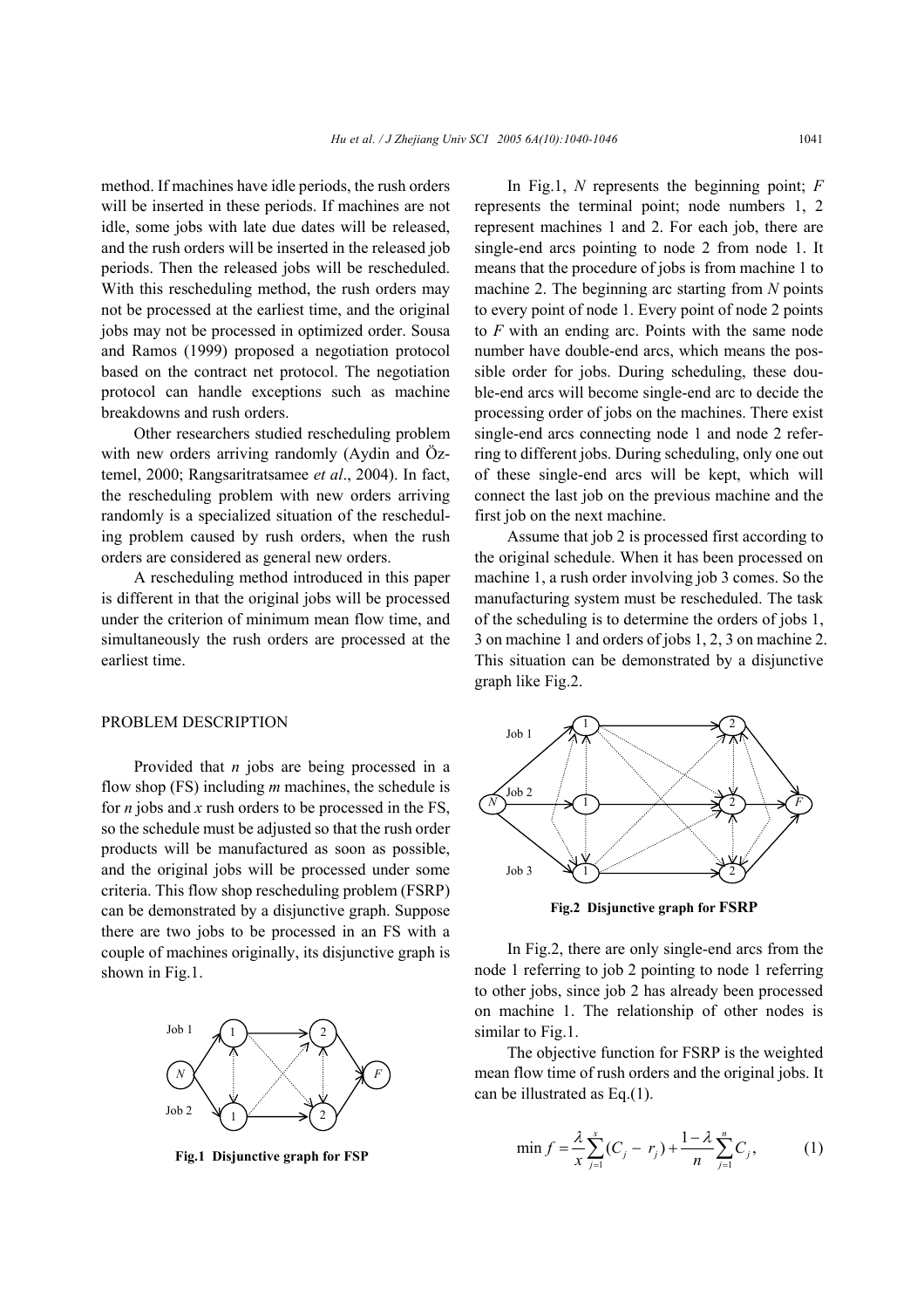method. If machines have idle periods, the rush orders will be inserted in these periods. If machines are not idle, some jobs with late due dates will be released, and the rush orders will be inserted in the released job periods. Then the released jobs will be rescheduled. With this rescheduling method, the rush orders may not be processed at the earliest time, and the original jobs may not be processed in optimized order. Sousa and Ramos (1999) proposed a negotiation protocol based on the contract net protocol. The negotiation protocol can handle exceptions such as machine breakdowns and rush orders.

Other researchers studied rescheduling problem with new orders arriving randomly (Aydin and Öztemel, 2000; Rangsaritratsamee *et al*., 2004). In fact, the rescheduling problem with new orders arriving randomly is a specialized situation of the rescheduling problem caused by rush orders, when the rush orders are considered as general new orders.

A rescheduling method introduced in this paper is different in that the original jobs will be processed under the criterion of minimum mean flow time, and simultaneously the rush orders are processed at the earliest time.

## PROBLEM DESCRIPTION

Provided that *n* jobs are being processed in a flow shop (FS) including *m* machines, the schedule is for *n* jobs and *x* rush orders to be processed in the FS, so the schedule must be adjusted so that the rush order products will be manufactured as soon as possible, and the original jobs will be processed under some criteria. This flow shop rescheduling problem (FSRP) can be demonstrated by a disjunctive graph. Suppose there are two jobs to be processed in an FS with a couple of machines originally, its disjunctive graph is shown in Fig.1.



**Fig.1 Disjunctive graph for FSP** 

In Fig.1, *N* represents the beginning point; *F* represents the terminal point; node numbers 1, 2 represent machines 1 and 2. For each job, there are single-end arcs pointing to node 2 from node 1. It means that the procedure of jobs is from machine 1 to machine 2. The beginning arc starting from *N* points to every point of node 1. Every point of node 2 points to *F* with an ending arc. Points with the same node number have double-end arcs, which means the possible order for jobs. During scheduling, these double-end arcs will become single-end arc to decide the processing order of jobs on the machines. There exist single-end arcs connecting node 1 and node 2 referring to different jobs. During scheduling, only one out of these single-end arcs will be kept, which will connect the last job on the previous machine and the first job on the next machine.

Assume that job 2 is processed first according to the original schedule. When it has been processed on machine 1, a rush order involving job 3 comes. So the manufacturing system must be rescheduled. The task of the scheduling is to determine the orders of jobs 1, 3 on machine 1 and orders of jobs 1, 2, 3 on machine 2. This situation can be demonstrated by a disjunctive graph like Fig.2.



**Fig.2 Disjunctive graph for FSRP**

In Fig.2, there are only single-end arcs from the node 1 referring to job 2 pointing to node 1 referring to other jobs, since job 2 has already been processed on machine 1. The relationship of other nodes is similar to Fig.1.

The objective function for FSRP is the weighted mean flow time of rush orders and the original jobs. It can be illustrated as Eq.(1).

$$
\min f = \frac{\lambda}{x} \sum_{j=1}^{x} (C_j - r_j) + \frac{1 - \lambda}{n} \sum_{j=1}^{n} C_j,
$$
 (1)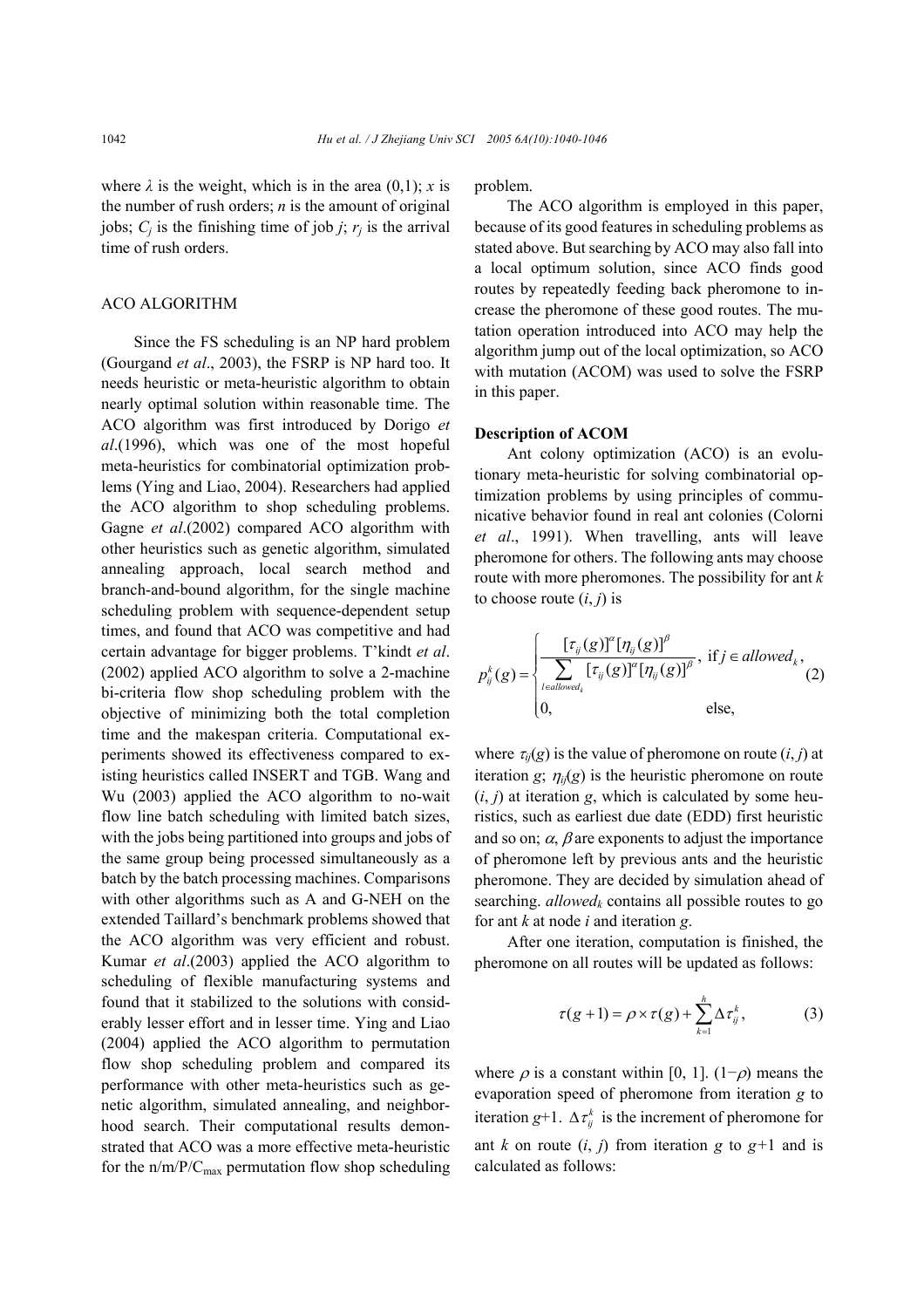where  $\lambda$  is the weight, which is in the area (0,1); *x* is the number of rush orders; *n* is the amount of original jobs;  $C_i$  is the finishing time of job *j*;  $r_i$  is the arrival time of rush orders.

## ACO ALGORITHM

Since the FS scheduling is an NP hard problem (Gourgand *et al*., 2003), the FSRP is NP hard too. It needs heuristic or meta-heuristic algorithm to obtain nearly optimal solution within reasonable time. The ACO algorithm was first introduced by Dorigo *et al*.(1996), which was one of the most hopeful meta-heuristics for combinatorial optimization problems (Ying and Liao, 2004). Researchers had applied the ACO algorithm to shop scheduling problems. Gagne *et al*.(2002) compared ACO algorithm with other heuristics such as genetic algorithm, simulated annealing approach, local search method and branch-and-bound algorithm, for the single machine scheduling problem with sequence-dependent setup times, and found that ACO was competitive and had certain advantage for bigger problems. T'kindt *et al*. (2002) applied ACO algorithm to solve a 2-machine bi-criteria flow shop scheduling problem with the objective of minimizing both the total completion time and the makespan criteria. Computational experiments showed its effectiveness compared to existing heuristics called INSERT and TGB. Wang and Wu (2003) applied the ACO algorithm to no-wait flow line batch scheduling with limited batch sizes, with the jobs being partitioned into groups and jobs of the same group being processed simultaneously as a batch by the batch processing machines. Comparisons with other algorithms such as A and G-NEH on the extended Taillard's benchmark problems showed that the ACO algorithm was very efficient and robust. Kumar *et al*.(2003) applied the ACO algorithm to scheduling of flexible manufacturing systems and found that it stabilized to the solutions with considerably lesser effort and in lesser time. Ying and Liao (2004) applied the ACO algorithm to permutation flow shop scheduling problem and compared its performance with other meta-heuristics such as genetic algorithm, simulated annealing, and neighborhood search. Their computational results demonstrated that ACO was a more effective meta-heuristic for the  $n/m/P/C_{max}$  permutation flow shop scheduling

problem.

The ACO algorithm is employed in this paper, because of its good features in scheduling problems as stated above. But searching by ACO may also fall into a local optimum solution, since ACO finds good routes by repeatedly feeding back pheromone to increase the pheromone of these good routes. The mutation operation introduced into ACO may help the algorithm jump out of the local optimization, so ACO with mutation (ACOM) was used to solve the FSRP in this paper.

### **Description of ACOM**

Ant colony optimization (ACO) is an evolutionary meta-heuristic for solving combinatorial optimization problems by using principles of communicative behavior found in real ant colonies (Colorni *et al*., 1991). When travelling, ants will leave pheromone for others. The following ants may choose route with more pheromones. The possibility for ant *k* to choose route  $(i, j)$  is

$$
p_{ij}^{k}(g) = \begin{cases} \frac{[\tau_{ij}(g)]^{\alpha}[\eta_{ij}(g)]^{\beta}}{\sum_{l \in allowed_k} [\tau_{ij}(g)]^{\alpha}[\eta_{ij}(g)]^{\beta}}, & \text{if } j \in allowed_k, \\ 0, & \text{else,} \end{cases}
$$

where  $\tau_{ij}(g)$  is the value of pheromone on route  $(i, j)$  at iteration *g*;  $\eta_{ii}(g)$  is the heuristic pheromone on route  $(i, j)$  at iteration *g*, which is calculated by some heuristics, such as earliest due date (EDD) first heuristic and so on;  $\alpha$ ,  $\beta$  are exponents to adjust the importance of pheromone left by previous ants and the heuristic pheromone. They are decided by simulation ahead of searching.  $allowed_k$  contains all possible routes to go for ant *k* at node *i* and iteration *g*.

After one iteration, computation is finished, the pheromone on all routes will be updated as follows:

$$
\tau(g+1) = \rho \times \tau(g) + \sum_{k=1}^{h} \Delta \tau_{ij}^{k}, \qquad (3)
$$

where  $\rho$  is a constant within [0, 1]. (1− $\rho$ ) means the evaporation speed of pheromone from iteration *g* to iteration *g*+1.  $\Delta \tau_{ii}^{k}$  is the increment of pheromone for ant *k* on route  $(i, j)$  from iteration *g* to  $g+1$  and is calculated as follows: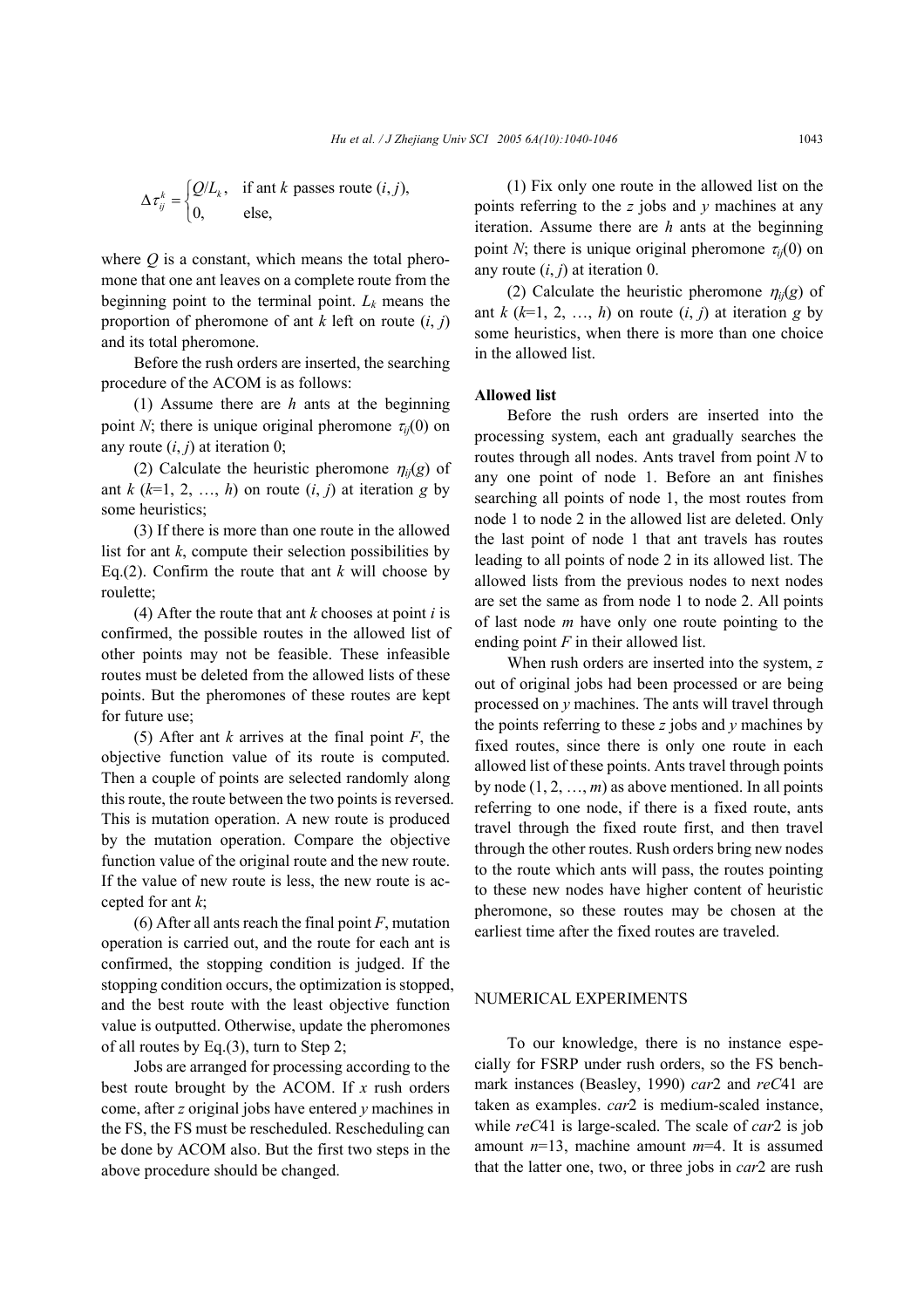where  $Q$  is a constant, which means the total pheromone that one ant leaves on a complete route from the beginning point to the terminal point.  $L_k$  means the proportion of pheromone of ant  $k$  left on route  $(i, j)$ and its total pheromone.

Before the rush orders are inserted, the searching procedure of the ACOM is as follows:

(1) Assume there are *h* ants at the beginning point *N*; there is unique original pheromone  $\tau_{ii}(0)$  on any route  $(i, j)$  at iteration 0;

(2) Calculate the heuristic pheromone  $\eta_{ii}(g)$  of ant  $k$  ( $k=1, 2, ..., h$ ) on route  $(i, j)$  at iteration  $g$  by some heuristics;

(3) If there is more than one route in the allowed list for ant  $k$ , compute their selection possibilities by Eq.(2). Confirm the route that ant  $k$  will choose by roulette;

(4) After the route that ant *k* chooses at point *i* is confirmed, the possible routes in the allowed list of other points may not be feasible. These infeasible routes must be deleted from the allowed lists of these points. But the pheromones of these routes are kept for future use;

(5) After ant *k* arrives at the final point *F*, the objective function value of its route is computed. Then a couple of points are selected randomly along this route, the route between the two points is reversed. This is mutation operation. A new route is produced by the mutation operation. Compare the objective function value of the original route and the new route. If the value of new route is less, the new route is accepted for ant *k*;

(6) After all ants reach the final point *F*, mutation operation is carried out, and the route for each ant is confirmed, the stopping condition is judged. If the stopping condition occurs, the optimization is stopped, and the best route with the least objective function value is outputted. Otherwise, update the pheromones of all routes by Eq.(3), turn to Step 2;

Jobs are arranged for processing according to the best route brought by the ACOM. If *x* rush orders come, after *z* original jobs have entered *y* machines in the FS, the FS must be rescheduled. Rescheduling can be done by ACOM also. But the first two steps in the above procedure should be changed.

(1) Fix only one route in the allowed list on the points referring to the *z* jobs and *y* machines at any iteration. Assume there are *h* ants at the beginning point *N*; there is unique original pheromone  $\tau_{ii}(0)$  on any route  $(i, j)$  at iteration 0.

(2) Calculate the heuristic pheromone  $\eta_{ij}(g)$  of ant  $k$  ( $k=1, 2, ..., h$ ) on route  $(i, j)$  at iteration *g* by some heuristics, when there is more than one choice in the allowed list.

#### **Allowed list**

Before the rush orders are inserted into the processing system, each ant gradually searches the routes through all nodes. Ants travel from point *N* to any one point of node 1. Before an ant finishes searching all points of node 1, the most routes from node 1 to node 2 in the allowed list are deleted. Only the last point of node 1 that ant travels has routes leading to all points of node 2 in its allowed list. The allowed lists from the previous nodes to next nodes are set the same as from node 1 to node 2. All points of last node *m* have only one route pointing to the ending point *F* in their allowed list.

When rush orders are inserted into the system, *z* out of original jobs had been processed or are being processed on *y* machines. The ants will travel through the points referring to these *z* jobs and *y* machines by fixed routes, since there is only one route in each allowed list of these points. Ants travel through points by node (1, 2, …, *m*) as above mentioned. In all points referring to one node, if there is a fixed route, ants travel through the fixed route first, and then travel through the other routes. Rush orders bring new nodes to the route which ants will pass, the routes pointing to these new nodes have higher content of heuristic pheromone, so these routes may be chosen at the earliest time after the fixed routes are traveled.

## NUMERICAL EXPERIMENTS

To our knowledge, there is no instance especially for FSRP under rush orders, so the FS benchmark instances (Beasley, 1990) *car*2 and *reC*41 are taken as examples. *car*2 is medium-scaled instance, while *reC*41 is large-scaled. The scale of *car*2 is job amount *n*=13, machine amount *m*=4. It is assumed that the latter one, two, or three jobs in *car*2 are rush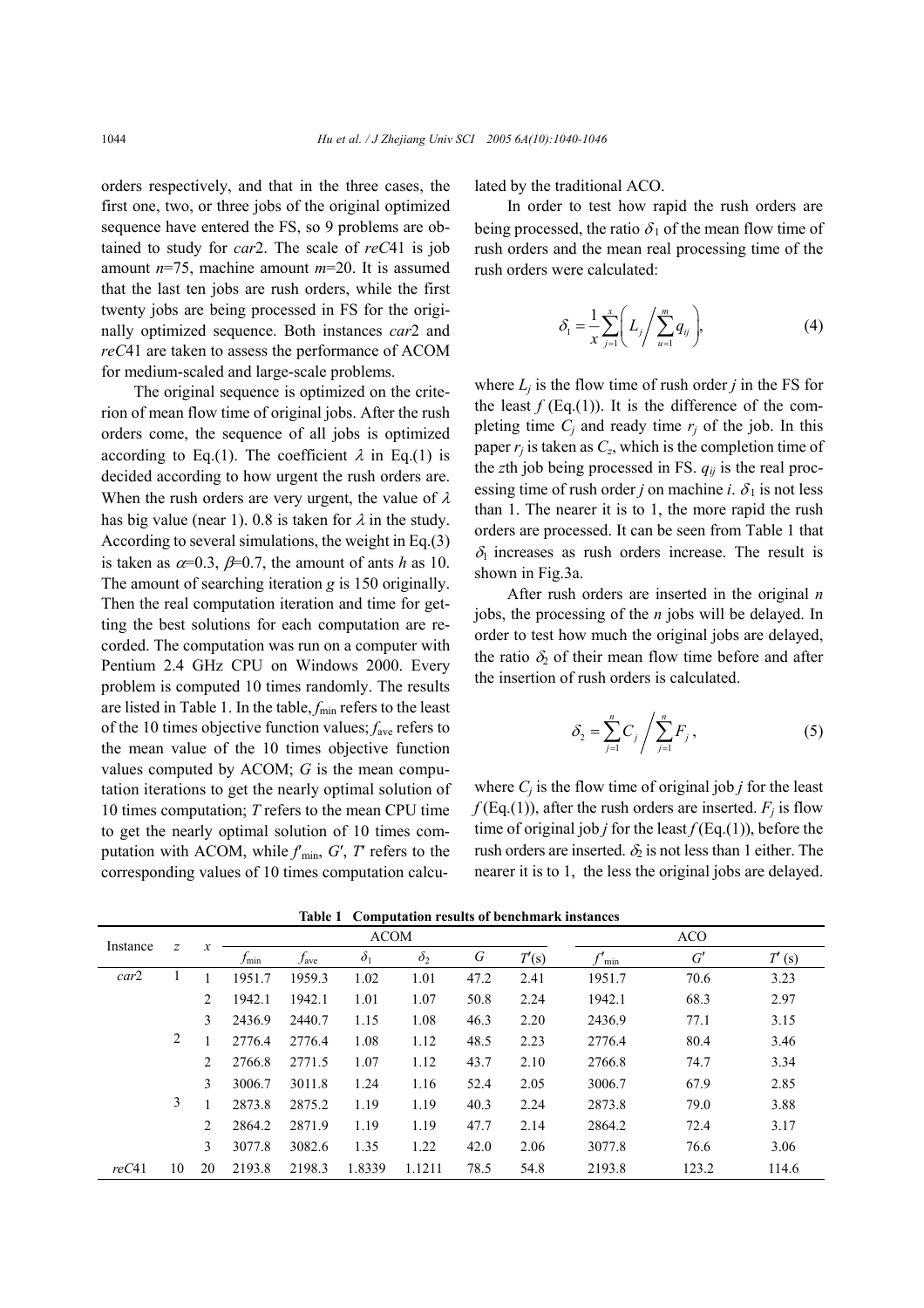orders respectively, and that in the three cases, the first one, two, or three jobs of the original optimized sequence have entered the FS, so 9 problems are obtained to study for *car*2. The scale of *reC*41 is job amount *n*=75, machine amount *m*=20. It is assumed that the last ten jobs are rush orders, while the first twenty jobs are being processed in FS for the originally optimized sequence. Both instances *car*2 and *reC*41 are taken to assess the performance of ACOM for medium-scaled and large-scale problems.

The original sequence is optimized on the criterion of mean flow time of original jobs. After the rush orders come, the sequence of all jobs is optimized according to Eq.(1). The coefficient  $\lambda$  in Eq.(1) is decided according to how urgent the rush orders are. When the rush orders are very urgent, the value of  $\lambda$ has big value (near 1). 0.8 is taken for  $\lambda$  in the study. According to several simulations, the weight in Eq.(3) is taken as  $\alpha=0.3$ ,  $\beta=0.7$ , the amount of ants *h* as 10. The amount of searching iteration *g* is 150 originally. Then the real computation iteration and time for getting the best solutions for each computation are recorded. The computation was run on a computer with Pentium 2.4 GHz CPU on Windows 2000. Every problem is computed 10 times randomly. The results are listed in Table 1. In the table,  $f_{\text{min}}$  refers to the least of the 10 times objective function values; *f*ave refers to the mean value of the 10 times objective function values computed by ACOM; *G* is the mean computation iterations to get the nearly optimal solution of 10 times computation; *T* refers to the mean CPU time to get the nearly optimal solution of 10 times computation with ACOM, while  $f_{\text{min}}$ ,  $G'$ ,  $T$  refers to the corresponding values of 10 times computation calculated by the traditional ACO.

In order to test how rapid the rush orders are being processed, the ratio  $\delta_1$  of the mean flow time of rush orders and the mean real processing time of the rush orders were calculated:

$$
\delta_1 = \frac{1}{x} \sum_{j=1}^x \left( L_j \middle/ \sum_{u=1}^m q_{ij} \right), \tag{4}
$$

where  $L_i$  is the flow time of rush order *j* in the FS for the least  $f$  (Eq.(1)). It is the difference of the completing time  $C_i$  and ready time  $r_i$  of the job. In this paper  $r_i$  is taken as  $C_z$ , which is the completion time of the *z*th job being processed in FS. *qij* is the real processing time of rush order *j* on machine *i*.  $\delta_1$  is not less than 1. The nearer it is to 1, the more rapid the rush orders are processed. It can be seen from Table 1 that  $\delta_1$  increases as rush orders increase. The result is shown in Fig.3a.

After rush orders are inserted in the original *n* jobs, the processing of the *n* jobs will be delayed. In order to test how much the original jobs are delayed, the ratio  $\delta_2$  of their mean flow time before and after the insertion of rush orders is calculated.

$$
\delta_2 = \sum_{j=1}^n C_j / \sum_{j=1}^n F_j , \qquad (5)
$$

where  $C_i$  is the flow time of original job *j* for the least  $f$ (Eq.(1)), after the rush orders are inserted.  $F_i$  is flow time of original job *j* for the least *f* (Eq.(1)), before the rush orders are inserted.  $\delta_2$  is not less than 1 either. The nearer it is to 1, the less the original jobs are delayed.

| Instance | $\overline{z}$ | х              | <b>ACOM</b> |                  |            |            |      |       | <b>ACO</b> |       |       |  |
|----------|----------------|----------------|-------------|------------------|------------|------------|------|-------|------------|-------|-------|--|
|          |                |                | $J_{\min}$  | $f_{\text{ave}}$ | $\delta_1$ | $\delta_2$ | G    | T'(s) | min        | G'    | T'(s) |  |
| car2     |                |                | 1951.7      | 1959.3           | 1.02       | 1.01       | 47.2 | 2.41  | 1951.7     | 70.6  | 3.23  |  |
|          |                | $\mathfrak{D}$ | 1942.1      | 1942.1           | 1.01       | 1.07       | 50.8 | 2.24  | 1942.1     | 68.3  | 2.97  |  |
|          |                | 3              | 2436.9      | 2440.7           | 1.15       | 1.08       | 46.3 | 2.20  | 2436.9     | 77.1  | 3.15  |  |
|          | $\overline{2}$ |                | 2776.4      | 2776.4           | 1.08       | 1.12       | 48.5 | 2.23  | 2776.4     | 80.4  | 3.46  |  |
|          |                | $\mathfrak{D}$ | 2766.8      | 2771.5           | 1.07       | 1.12       | 43.7 | 2.10  | 2766.8     | 74.7  | 3.34  |  |
|          |                | 3              | 3006.7      | 3011.8           | 1.24       | 1.16       | 52.4 | 2.05  | 3006.7     | 67.9  | 2.85  |  |
|          | 3              |                | 2873.8      | 2875.2           | 1.19       | 1.19       | 40.3 | 2.24  | 2873.8     | 79.0  | 3.88  |  |
|          |                | $\mathfrak{D}$ | 2864.2      | 2871.9           | 1.19       | 1.19       | 47.7 | 2.14  | 2864.2     | 72.4  | 3.17  |  |
|          |                | 3              | 3077.8      | 3082.6           | 1.35       | 1.22       | 42.0 | 2.06  | 3077.8     | 76.6  | 3.06  |  |
| reC41    | 10             | 20             | 2193.8      | 2198.3           | 1.8339     | 1.1211     | 78.5 | 54.8  | 2193.8     | 123.2 | 114.6 |  |

**Table 1 Computation results of benchmark instances**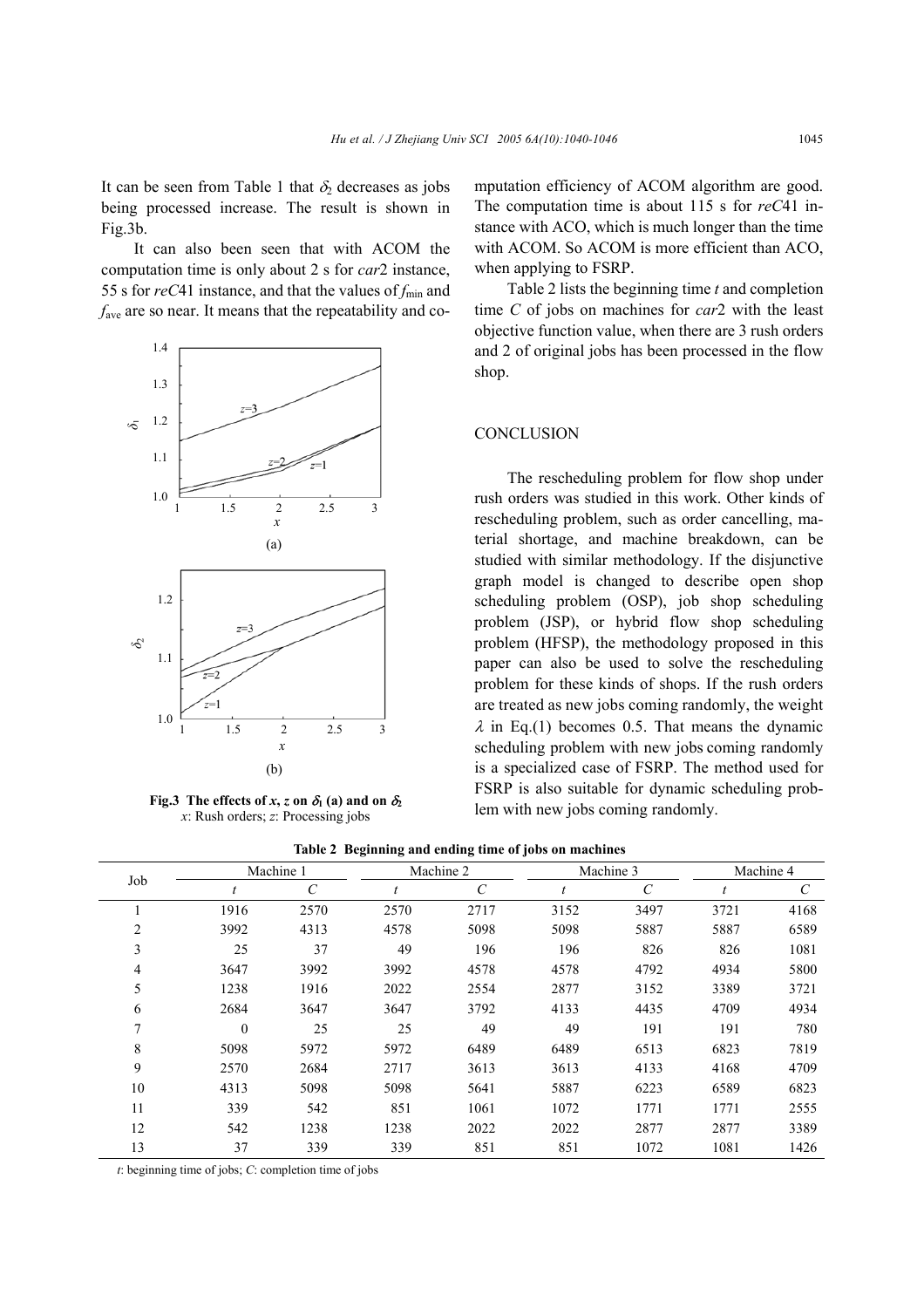It can be seen from Table 1 that  $\delta_2$  decreases as jobs being processed increase. The result is shown in Fig.3b.

It can also been seen that with ACOM the computation time is only about 2 s for *car*2 instance, 55 s for  $reC41$  instance, and that the values of  $f_{min}$  and *f*ave are so near. It means that the repeatability and co-



**Fig.3** The effects of *x*, *z* on  $\delta_1$  (a) and on  $\delta_2$ *x*: Rush orders; *z*: Processing jobs

mputation efficiency of ACOM algorithm are good. The computation time is about 115 s for *reC*41 instance with ACO, which is much longer than the time with ACOM. So ACOM is more efficient than ACO, when applying to FSRP.

Table 2 lists the beginning time *t* and completion time *C* of jobs on machines for *car*2 with the least objective function value, when there are 3 rush orders and 2 of original jobs has been processed in the flow shop.

# **CONCLUSION**

The rescheduling problem for flow shop under rush orders was studied in this work. Other kinds of rescheduling problem, such as order cancelling, material shortage, and machine breakdown, can be studied with similar methodology. If the disjunctive graph model is changed to describe open shop scheduling problem (OSP), job shop scheduling problem (JSP), or hybrid flow shop scheduling problem (HFSP), the methodology proposed in this paper can also be used to solve the rescheduling problem for these kinds of shops. If the rush orders are treated as new jobs coming randomly, the weight  $\lambda$  in Eq.(1) becomes 0.5. That means the dynamic scheduling problem with new jobs coming randomly is a specialized case of FSRP. The method used for FSRP is also suitable for dynamic scheduling problem with new jobs coming randomly.

**Table 2 Beginning and ending time of jobs on machines** 

|              |              | Machine 1 |      | Machine 2             |      | Machine 3 | Machine 4 |      |
|--------------|--------------|-----------|------|-----------------------|------|-----------|-----------|------|
| Job          |              | C         |      | $\mathcal{C}_{0}^{0}$ |      | C         |           |      |
|              | 1916         | 2570      | 2570 | 2717                  | 3152 | 3497      | 3721      | 4168 |
| 2            | 3992         | 4313      | 4578 | 5098                  | 5098 | 5887      | 5887      | 6589 |
| 3            | 25           | 37        | 49   | 196                   | 196  | 826       | 826       | 1081 |
| 4            | 3647         | 3992      | 3992 | 4578                  | 4578 | 4792      | 4934      | 5800 |
| 5            | 1238         | 1916      | 2022 | 2554                  | 2877 | 3152      | 3389      | 3721 |
| 6            | 2684         | 3647      | 3647 | 3792                  | 4133 | 4435      | 4709      | 4934 |
| $\mathbf{r}$ | $\mathbf{0}$ | 25        | 25   | 49                    | 49   | 191       | 191       | 780  |
| 8            | 5098         | 5972      | 5972 | 6489                  | 6489 | 6513      | 6823      | 7819 |
| 9            | 2570         | 2684      | 2717 | 3613                  | 3613 | 4133      | 4168      | 4709 |
| 10           | 4313         | 5098      | 5098 | 5641                  | 5887 | 6223      | 6589      | 6823 |
| 11           | 339          | 542       | 851  | 1061                  | 1072 | 1771      | 1771      | 2555 |
| 12           | 542          | 1238      | 1238 | 2022                  | 2022 | 2877      | 2877      | 3389 |
| 13           | 37           | 339       | 339  | 851                   | 851  | 1072      | 1081      | 1426 |

*t*: beginning time of jobs; *C*: completion time of jobs